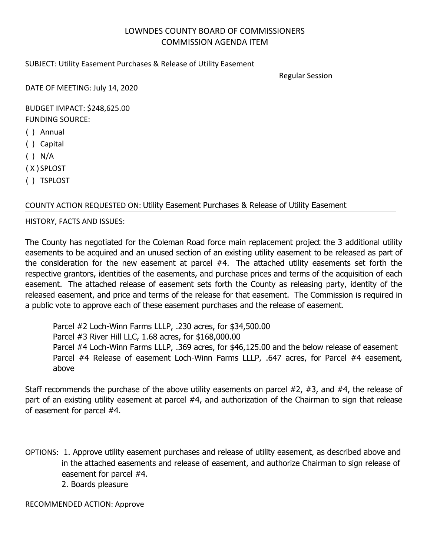## LOWNDES COUNTY BOARD OF COMMISSIONERS COMMISSION AGENDA ITEM

## SUBJECT: Utility Easement Purchases & Release of Utility Easement

Regular Session

DATE OF MEETING: July 14, 2020

BUDGET IMPACT: \$248,625.00 FUNDING SOURCE:

( ) Annual

- ( ) Capital
- $( )$  N/A

( X ) SPLOST

( ) TSPLOST

## COUNTY ACTION REQUESTED ON: Utility Easement Purchases & Release of Utility Easement

## HISTORY, FACTS AND ISSUES:

The County has negotiated for the Coleman Road force main replacement project the 3 additional utility easements to be acquired and an unused section of an existing utility easement to be released as part of the consideration for the new easement at parcel #4. The attached utility easements set forth the respective grantors, identities of the easements, and purchase prices and terms of the acquisition of each easement. The attached release of easement sets forth the County as releasing party, identity of the released easement, and price and terms of the release for that easement. The Commission is required in a public vote to approve each of these easement purchases and the release of easement.

Parcel #2 Loch-Winn Farms LLLP, .230 acres, for \$34,500.00 Parcel #3 River Hill LLC, 1.68 acres, for \$168,000.00 Parcel #4 Loch-Winn Farms LLLP, .369 acres, for \$46,125.00 and the below release of easement Parcel #4 Release of easement Loch-Winn Farms LLLP, .647 acres, for Parcel #4 easement, above

Staff recommends the purchase of the above utility easements on parcel #2, #3, and #4, the release of part of an existing utility easement at parcel #4, and authorization of the Chairman to sign that release of easement for parcel #4.

OPTIONS: 1. Approve utility easement purchases and release of utility easement, as described above and in the attached easements and release of easement, and authorize Chairman to sign release of easement for parcel #4. 2. Boards pleasure

RECOMMENDED ACTION: Approve